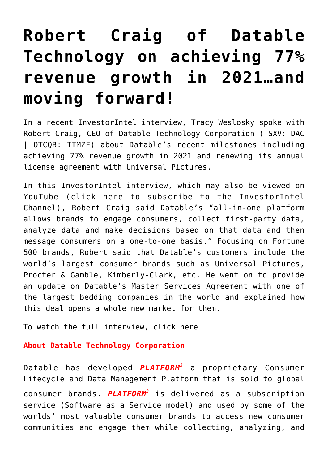## **[Robert Craig of Datable](https://investorintel.com/investorintel-video/robert-craig-of-datable-technology-on-achieving-77-revenue-growth-in-2021/) [Technology on achieving 77%](https://investorintel.com/investorintel-video/robert-craig-of-datable-technology-on-achieving-77-revenue-growth-in-2021/) [revenue growth in 2021…and](https://investorintel.com/investorintel-video/robert-craig-of-datable-technology-on-achieving-77-revenue-growth-in-2021/) [moving forward!](https://investorintel.com/investorintel-video/robert-craig-of-datable-technology-on-achieving-77-revenue-growth-in-2021/)**

In a recent InvestorIntel interview, Tracy Weslosky spoke with Robert Craig, CEO of [Datable Technology Corporation](https://www.datablecorp.com/) (TSXV: DAC | OTCQB: TTMZF) about Datable's recent milestones including achieving [77% revenue growth](https://investorintel.com/markets/technology/technology-news/datable-expects-revenue-growth-of-77-percent-in-2021/) in 2021 and [renewing](https://investorintel.com/markets/technology/technology-news/datable-signs-renewal-with-leading-media-entertainment-company-expects-continued-revenue-growth-in-2022/) its annual license agreement with Universal Pictures.

In this InvestorIntel interview, which may also be viewed on YouTube ([click here to subscribe to the InvestorIntel](https://www.youtube.com/channel/UCTAJpGxZWbiV9psQA5WATVg?view_as=subscriber) [Channel\)](https://www.youtube.com/channel/UCTAJpGxZWbiV9psQA5WATVg?view_as=subscriber), Robert Craig said Datable's "all-in-one platform allows brands to engage consumers, collect first-party data, analyze data and make decisions based on that data and then message consumers on a one-to-one basis." Focusing on Fortune 500 brands, Robert said that Datable's customers include the world's largest consumer brands such as Universal Pictures, Procter & Gamble, Kimberly-Clark, etc. He went on to provide an update on Datable's [Master Services Agreement](https://investorintel.com/markets/technology/technology-news/datable-signs-master-services-agreement-with-bedding-company/) with one of the largest bedding companies in the world and explained how this deal opens a whole new market for them.

To watch the full interview, [click here](https://youtu.be/jnVS4CZPPC4)

## **About Datable Technology Corporation**

Datable has developed *PLATFORM<sup>3</sup>* a proprietary Consumer Lifecycle and Data Management Platform that is sold to global consumer brands. *PLATFORM<sup>3</sup>* is delivered as a subscription service (Software as a Service model) and used by some of the worlds' most valuable consumer brands to access new consumer communities and engage them while collecting, analyzing, and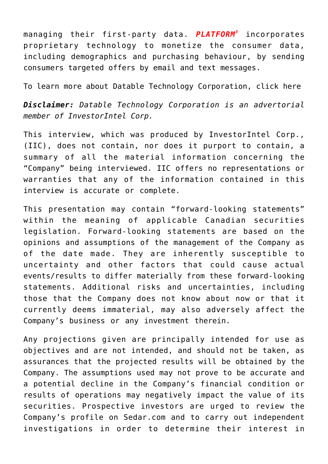managing their first-party data. *PLATFORM<sup>3</sup>* incorporates proprietary technology to monetize the consumer data, including demographics and purchasing behaviour, by sending consumers targeted offers by email and text messages.

To learn more about Datable Technology Corporation, [click here](https://www.datablecorp.com/)

*Disclaimer: Datable Technology Corporation is an advertorial member of InvestorIntel Corp.*

This interview, which was produced by InvestorIntel Corp., (IIC), does not contain, nor does it purport to contain, a summary of all the material information concerning the "Company" being interviewed. IIC offers no representations or warranties that any of the information contained in this interview is accurate or complete.

This presentation may contain "forward-looking statements" within the meaning of applicable Canadian securities legislation. Forward-looking statements are based on the opinions and assumptions of the management of the Company as of the date made. They are inherently susceptible to uncertainty and other factors that could cause actual events/results to differ materially from these forward-looking statements. Additional risks and uncertainties, including those that the Company does not know about now or that it currently deems immaterial, may also adversely affect the Company's business or any investment therein.

Any projections given are principally intended for use as objectives and are not intended, and should not be taken, as assurances that the projected results will be obtained by the Company. The assumptions used may not prove to be accurate and a potential decline in the Company's financial condition or results of operations may negatively impact the value of its securities. Prospective investors are urged to review the Company's profile on [Sedar.com](http://www.sedar.com/) and to carry out independent investigations in order to determine their interest in